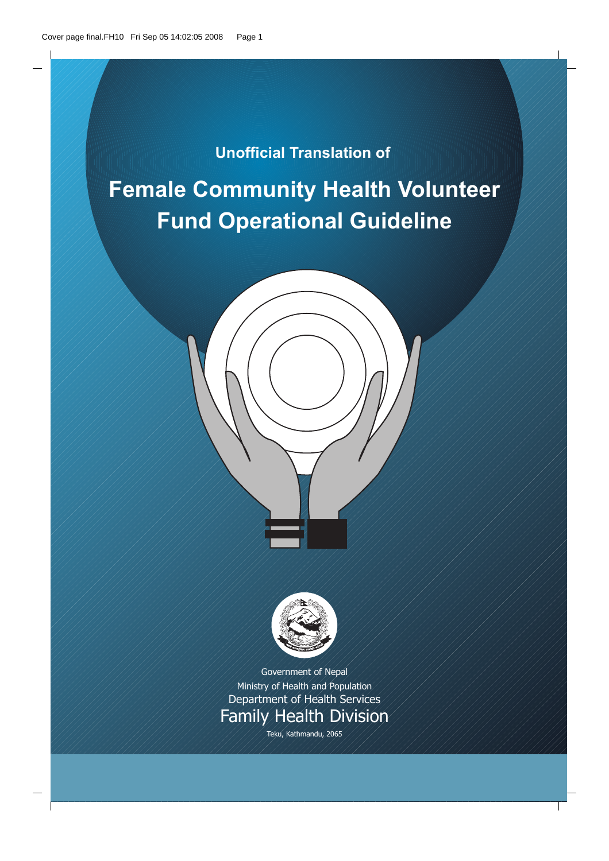# **Unofficial Translation of**

# **Female Community Health Volunteer Fund Operational Guideline**



Government of Nepal Ministry of Health and Population Department of Health Services **Family Health Division** 

Teku, Kathmandu, 2065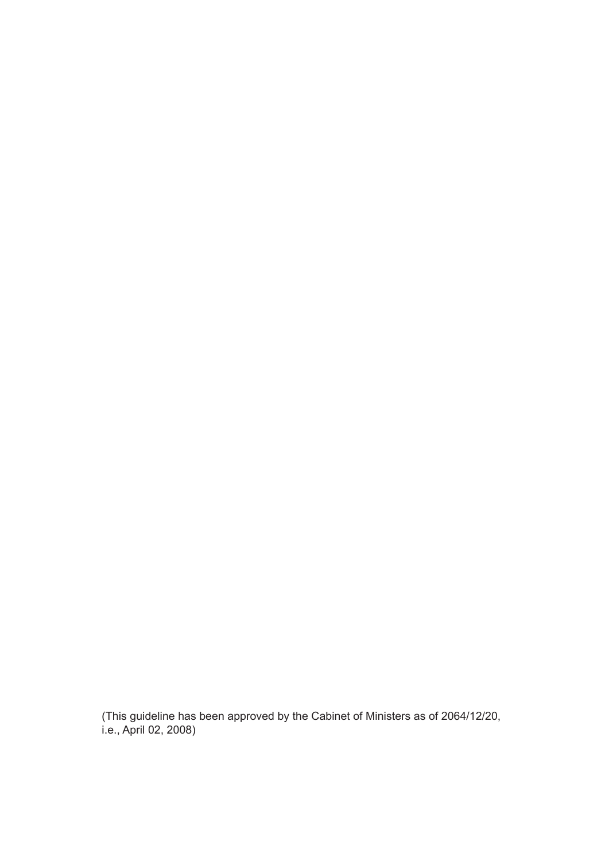(This guideline has been approved by the Cabinet of Ministers as of 2064/12/20, i.e., April 02, 2008)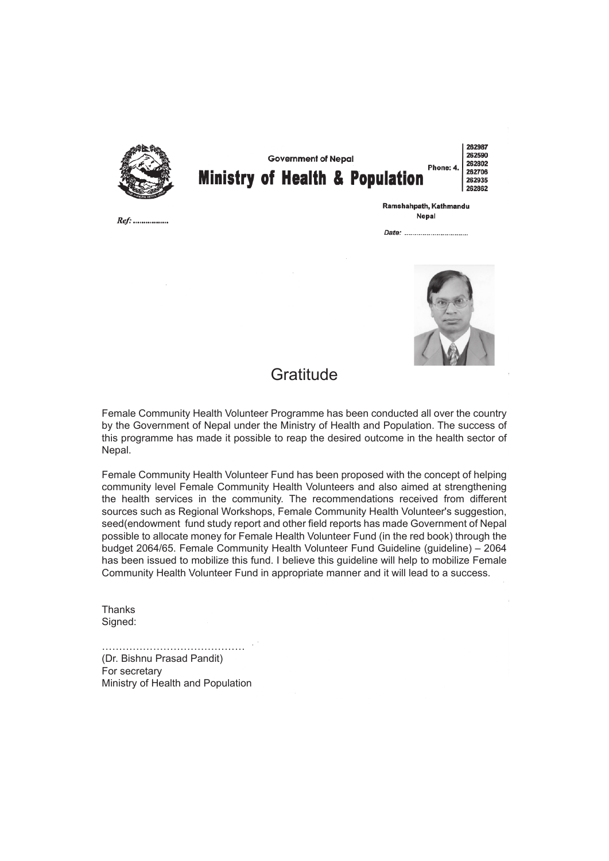

**Government of Nepal Ministry of Health & Population** 

262987 262590 262802 Phone: 4. 262706 262935 262862

Ref: .................

Ramshahpath, Kathmandu Nepal



## **Gratitude**

Female Community Health Volunteer Programme has been conducted all over the country by the Government of Nepal under the Ministry of Health and Population. The success of this programme has made it possible to reap the desired outcome in the health sector of Nepal.

Female Community Health Volunteer Fund has been proposed with the concept of helping community level Female Community Health Volunteers and also aimed at strengthening the health services in the community. The recommendations received from different sources such as Regional Workshops, Female Community Health Volunteer's suggestion, seed(endowment fund study report and other field reports has made Government of Nepal possible to allocate money for Female Health Volunteer Fund (in the red book) through the budget 2064/65. Female Community Health Volunteer Fund Guideline (guideline) – 2064 has been issued to mobilize this fund. I believe this guideline will help to mobilize Female Community Health Volunteer Fund in appropriate manner and it will lead to a success.

**Thanks** Signed:

…………………………………………… (Dr. Bishnu Prasad Pandit) For secretary Ministry of Health and Population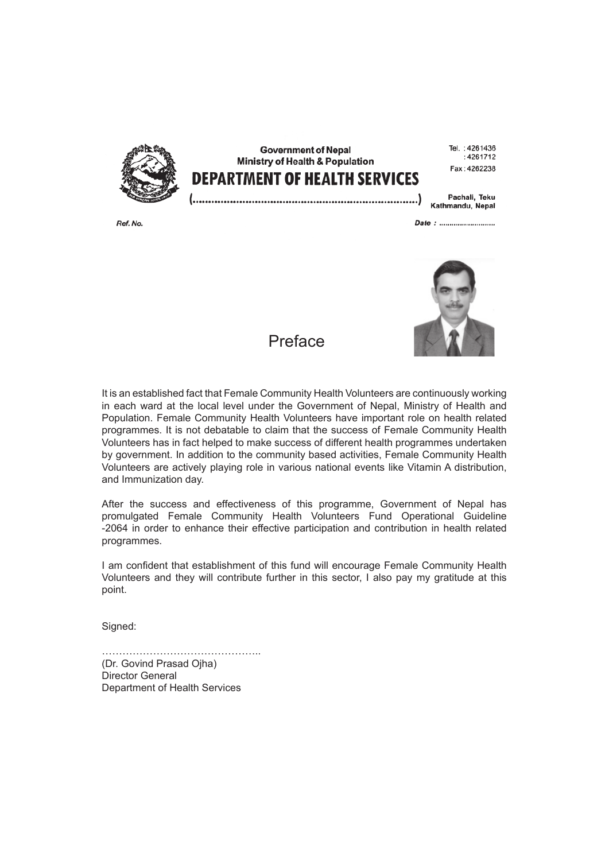

**Government of Nepal** Ministry of Health & Population **DEPARTMENT OF HEALTH SERVICES** 

Tel.: 4261436  $.4261712$ Fax: 4262238

Pachali, Teku Kathmandu, Nepal

Ref. No.

Date: ..........................



Preface

It is an established fact that Female Community Health Volunteers are continuously working in each ward at the local level under the Government of Nepal, Ministry of Health and Population. Female Community Health Volunteers have important role on health related programmes. It is not debatable to claim that the success of Female Community Health Volunteers has in fact helped to make success of different health programmes undertaken by government. In addition to the community based activities, Female Community Health Volunteers are actively playing role in various national events like Vitamin A distribution, and Immunization day.

After the success and effectiveness of this programme, Government of Nepal has promulgated Female Community Health Volunteers Fund Operational Guideline -2064 in order to enhance their effective participation and contribution in health related programmes.

I am confident that establishment of this fund will encourage Female Community Health Volunteers and they will contribute further in this sector, I also pay my gratitude at this point.

Signed:

……………………………………….. (Dr. Govind Prasad Ojha) Director General Department of Health Services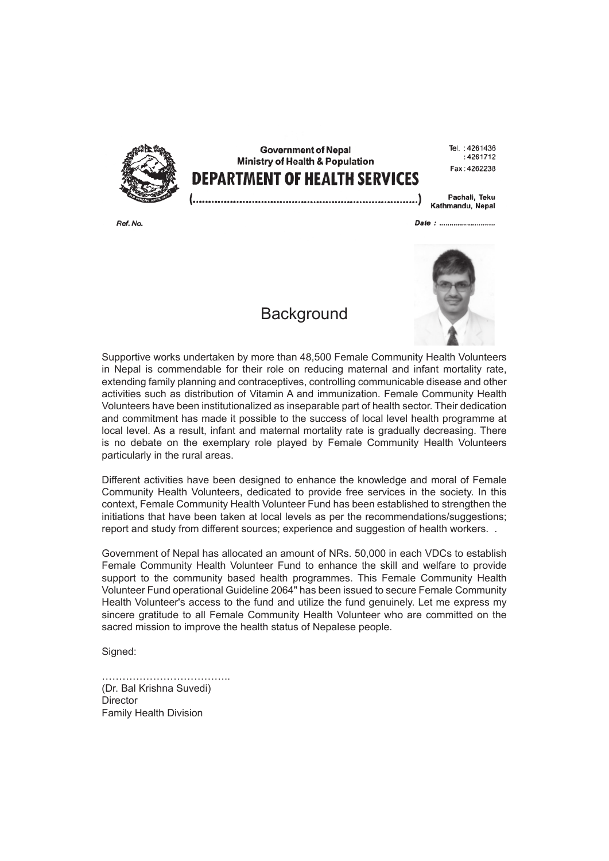

Ref. No.

**Government of Nepal** Ministry of Health & Population **DEPARTMENT OF HEALTH SERVICES** 

Tel.: 4261436  $.4261712$  $Fay \tcdot 4262238$ 

Pachali, Teku Kathmandu, Nepal

Date: ..........................

**Background** 



Supportive works undertaken by more than 48,500 Female Community Health Volunteers in Nepal is commendable for their role on reducing maternal and infant mortality rate, extending family planning and contraceptives, controlling communicable disease and other activities such as distribution of Vitamin A and immunization. Female Community Health Volunteers have been institutionalized as inseparable part of health sector. Their dedication and commitment has made it possible to the success of local level health programme at local level. As a result, infant and maternal mortality rate is gradually decreasing. There is no debate on the exemplary role played by Female Community Health Volunteers particularly in the rural areas.

Different activities have been designed to enhance the knowledge and moral of Female Community Health Volunteers, dedicated to provide free services in the society. In this context, Female Community Health Volunteer Fund has been established to strengthen the initiations that have been taken at local levels as per the recommendations/suggestions; report and study from different sources; experience and suggestion of health workers. .

Government of Nepal has allocated an amount of NRs. 50,000 in each VDCs to establish Female Community Health Volunteer Fund to enhance the skill and welfare to provide support to the community based health programmes. This Female Community Health Volunteer Fund operational Guideline 2064" has been issued to secure Female Community Health Volunteer's access to the fund and utilize the fund genuinely. Let me express my sincere gratitude to all Female Community Health Volunteer who are committed on the sacred mission to improve the health status of Nepalese people.

Signed:

…………………………………………… (Dr. Bal Krishna Suvedi) **Director** Family Health Division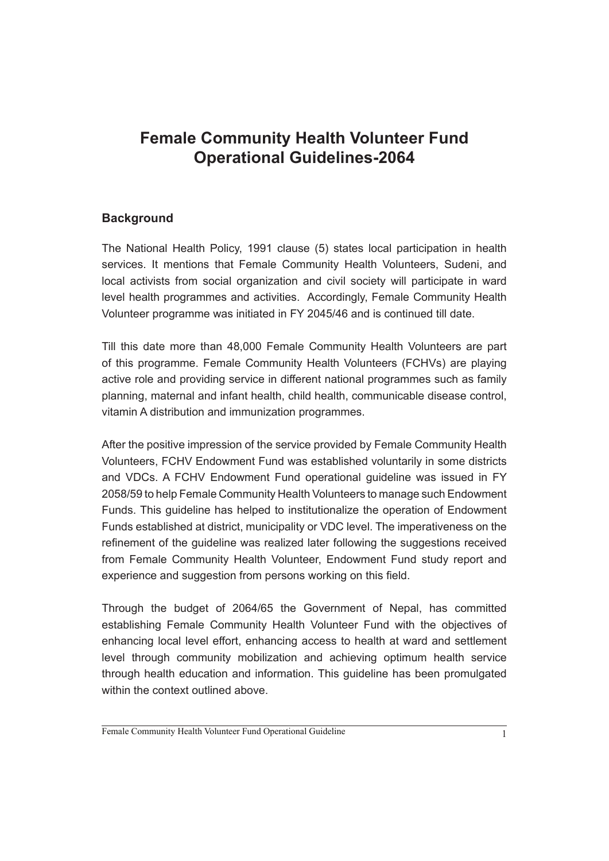# **Female Community Health Volunteer Fund Operational Guidelines-2064**

#### **Background**

The National Health Policy, 1991 clause (5) states local participation in health services. It mentions that Female Community Health Volunteers, Sudeni, and local activists from social organization and civil society will participate in ward level health programmes and activities. Accordingly, Female Community Health Volunteer programme was initiated in FY 2045/46 and is continued till date.

Till this date more than 48,000 Female Community Health Volunteers are part of this programme. Female Community Health Volunteers (FCHVs) are playing active role and providing service in different national programmes such as family planning, maternal and infant health, child health, communicable disease control, vitamin A distribution and immunization programmes.

After the positive impression of the service provided by Female Community Health Volunteers, FCHV Endowment Fund was established voluntarily in some districts and VDCs. A FCHV Endowment Fund operational guideline was issued in FY 2058/59 to help Female Community Health Volunteers to manage such Endowment Funds. This guideline has helped to institutionalize the operation of Endowment Funds established at district, municipality or VDC level. The imperativeness on the refinement of the quideline was realized later following the suggestions received from Female Community Health Volunteer, Endowment Fund study report and experience and suggestion from persons working on this field.

Through the budget of 2064/65 the Government of Nepal, has committed establishing Female Community Health Volunteer Fund with the objectives of enhancing local level effort, enhancing access to health at ward and settlement level through community mobilization and achieving optimum health service through health education and information. This guideline has been promulgated within the context outlined above.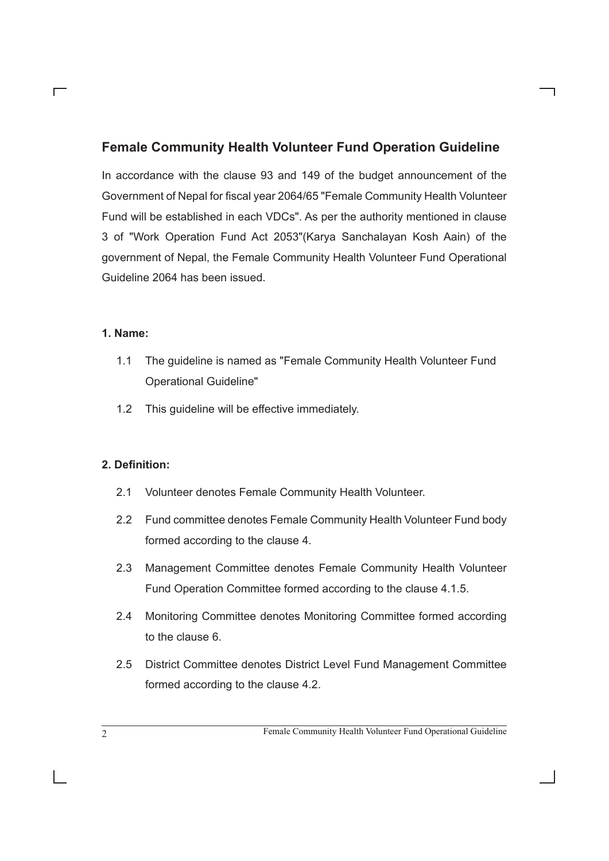### **Female Community Health Volunteer Fund Operation Guideline**

In accordance with the clause 93 and 149 of the budget announcement of the Government of Nepal for fiscal year 2064/65 "Female Community Health Volunteer Fund will be established in each VDCs". As per the authority mentioned in clause 3 of "Work Operation Fund Act 2053"(Karya Sanchalayan Kosh Aain) of the government of Nepal, the Female Community Health Volunteer Fund Operational Guideline 2064 has been issued.

#### **1. Name:**

Г

- 1.1 The guideline is named as "Female Community Health Volunteer Fund Operational Guideline"
- 1.2 This guideline will be effective immediately.

#### 2. Definition:

- 2.1 Volunteer denotes Female Community Health Volunteer.
- 2.2 Fund committee denotes Female Community Health Volunteer Fund body formed according to the clause 4.
- 2.3 Management Committee denotes Female Community Health Volunteer Fund Operation Committee formed according to the clause 4.1.5.
- 2.4 Monitoring Committee denotes Monitoring Committee formed according to the clause 6.
- 2.5 District Committee denotes District Level Fund Management Committee formed according to the clause 4.2.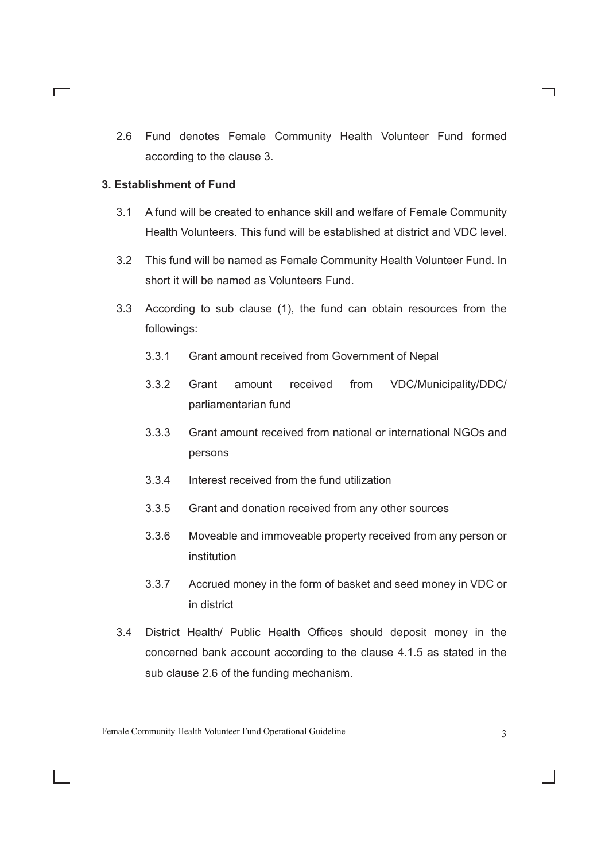2.6 Fund denotes Female Community Health Volunteer Fund formed according to the clause 3.

#### **3. Establishment of Fund**

Г

- 3.1 A fund will be created to enhance skill and welfare of Female Community Health Volunteers. This fund will be established at district and VDC level.
- 3.2 This fund will be named as Female Community Health Volunteer Fund. In short it will be named as Volunteers Fund.
- 3.3 According to sub clause (1), the fund can obtain resources from the followings:
	- 3.3.1 Grant amount received from Government of Nepal
	- 3.3.2 Grant amount received from VDC/Municipality/DDC/ parliamentarian fund
	- 3.3.3 Grant amount received from national or international NGOs and persons
	- 3.3.4 Interest received from the fund utilization
	- 3.3.5 Grant and donation received from any other sources
	- 3.3.6 Moveable and immoveable property received from any person or institution
	- 3.3.7 Accrued money in the form of basket and seed money in VDC or in district
- 3.4 District Health/ Public Health Offices should deposit money in the concerned bank account according to the clause 4.1.5 as stated in the sub clause 2.6 of the funding mechanism.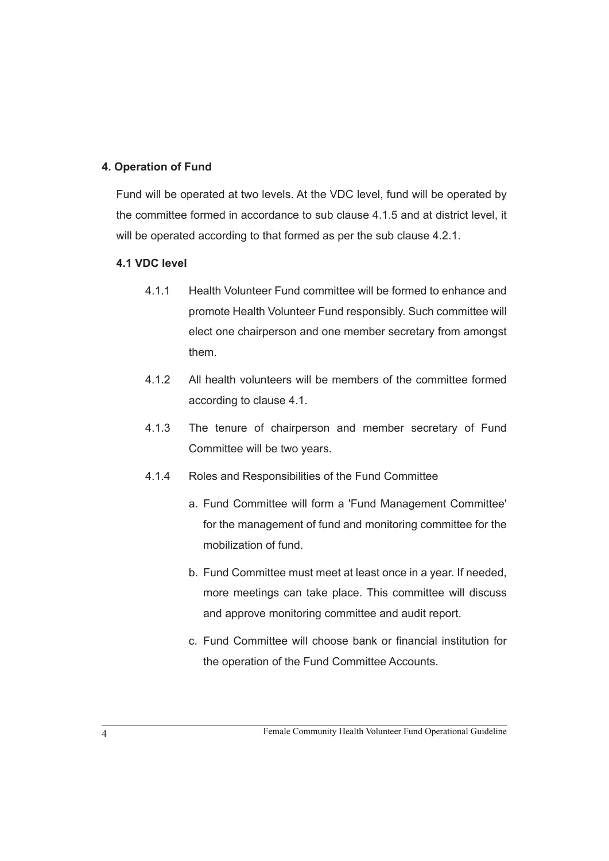#### **4. Operation of Fund**

Fund will be operated at two levels. At the VDC level, fund will be operated by the committee formed in accordance to sub clause 4.1.5 and at district level, it will be operated according to that formed as per the sub clause 4.2.1.

#### **4.1 VDC level**

- 4.1.1 Health Volunteer Fund committee will be formed to enhance and promote Health Volunteer Fund responsibly. Such committee will elect one chairperson and one member secretary from amongst them.
- 4.1.2 All health volunteers will be members of the committee formed according to clause 4.1.
- 4.1.3 The tenure of chairperson and member secretary of Fund Committee will be two years.
- 4.1.4 Roles and Responsibilities of the Fund Committee
	- a. Fund Committee will form a 'Fund Management Committee' for the management of fund and monitoring committee for the mobilization of fund.
	- b. Fund Committee must meet at least once in a year. If needed, more meetings can take place. This committee will discuss and approve monitoring committee and audit report.
	- c. Fund Committee will choose bank or financial institution for the operation of the Fund Committee Accounts.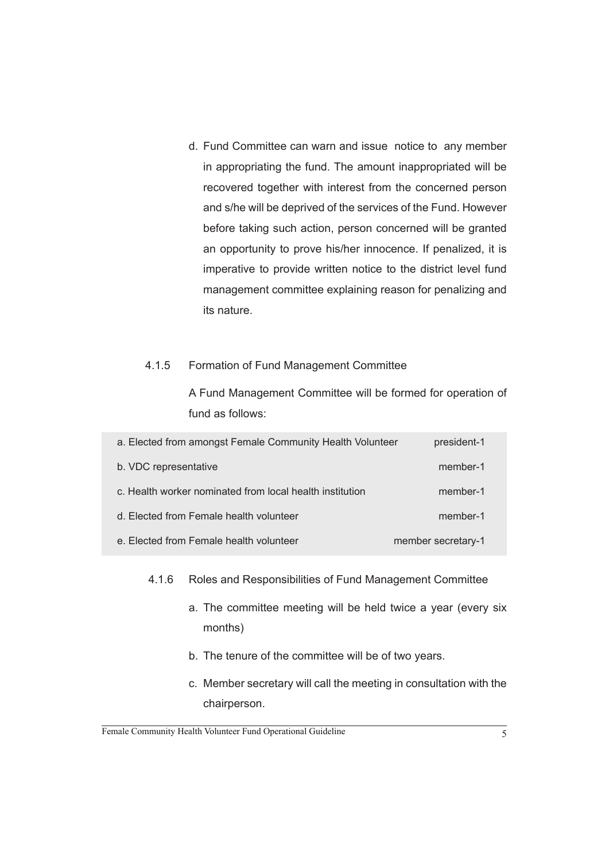d. Fund Committee can warn and issue notice to any member in appropriating the fund. The amount inappropriated will be recovered together with interest from the concerned person and s/he will be deprived of the services of the Fund. However before taking such action, person concerned will be granted an opportunity to prove his/her innocence. If penalized, it is imperative to provide written notice to the district level fund management committee explaining reason for penalizing and its nature.

#### 4.1.5 Formation of Fund Management Committee

 A Fund Management Committee will be formed for operation of fund as follows:

| a. Elected from amongst Female Community Health Volunteer | president-1        |
|-----------------------------------------------------------|--------------------|
| b. VDC representative                                     | member-1           |
| c. Health worker nominated from local health institution  | member-1           |
| d. Elected from Female health volunteer                   | member-1           |
| e. Elected from Female health volunteer                   | member secretary-1 |

#### 4.1.6 Roles and Responsibilities of Fund Management Committee

- a. The committee meeting will be held twice a year (every six months)
- b. The tenure of the committee will be of two years.
- c. Member secretary will call the meeting in consultation with the chairperson.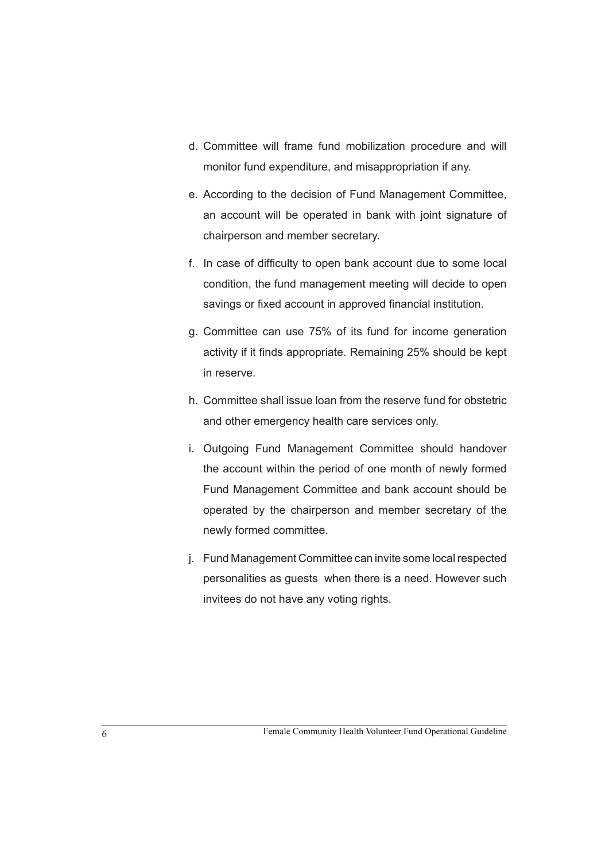- d. Committee will frame fund mobilization procedure and will monitor fund expenditure, and misappropriation if any.
- e. According to the decision of Fund Management Committee, an account will be operated in bank with joint signature of chairperson and member secretary.
- f. In case of difficulty to open bank account due to some local condition, the fund management meeting will decide to open savings or fixed account in approved financial institution.
- g. Committee can use 75% of its fund for income generation activity if it finds appropriate. Remaining 25% should be kept in reserve.
- h. Committee shall issue loan from the reserve fund for obstetric and other emergency health care services only.
- i. Outgoing Fund Management Committee should handover the account within the period of one month of newly formed Fund Management Committee and bank account should be operated by the chairperson and member secretary of the newly formed committee.
- j. Fund Management Committee can invite some local respected personalities as guests when there is a need. However such invitees do not have any voting rights.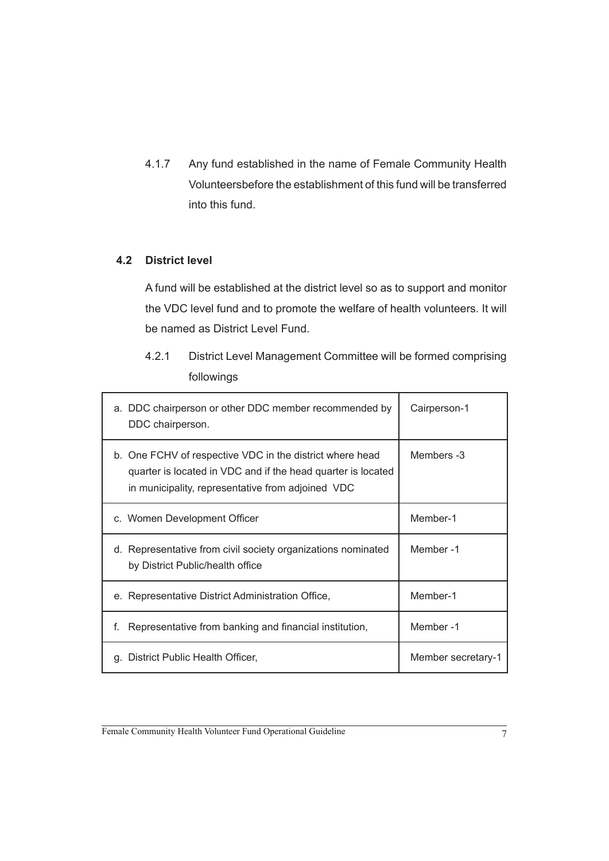4.1.7 Any fund established in the name of Female Community Health Volunteersbefore the establishment of this fund will be transferred into this fund.

#### **4.2 District level**

 A fund will be established at the district level so as to support and monitor the VDC level fund and to promote the welfare of health volunteers. It will be named as District Level Fund.

4.2.1 District Level Management Committee will be formed comprising followings

| a. DDC chairperson or other DDC member recommended by<br>DDC chairperson.                                                                                                     | Cairperson-1       |
|-------------------------------------------------------------------------------------------------------------------------------------------------------------------------------|--------------------|
| b. One FCHV of respective VDC in the district where head<br>quarter is located in VDC and if the head quarter is located<br>in municipality, representative from adjoined VDC | Members -3         |
| c. Women Development Officer                                                                                                                                                  | Member-1           |
| Representative from civil society organizations nominated<br>d.<br>by District Public/health office                                                                           | Member-1           |
| e. Representative District Administration Office,                                                                                                                             | Member-1           |
| f.<br>Representative from banking and financial institution,                                                                                                                  | Member-1           |
| District Public Health Officer,<br>q.                                                                                                                                         | Member secretary-1 |

Female Community Health Volunteer Fund Operational Guideline 7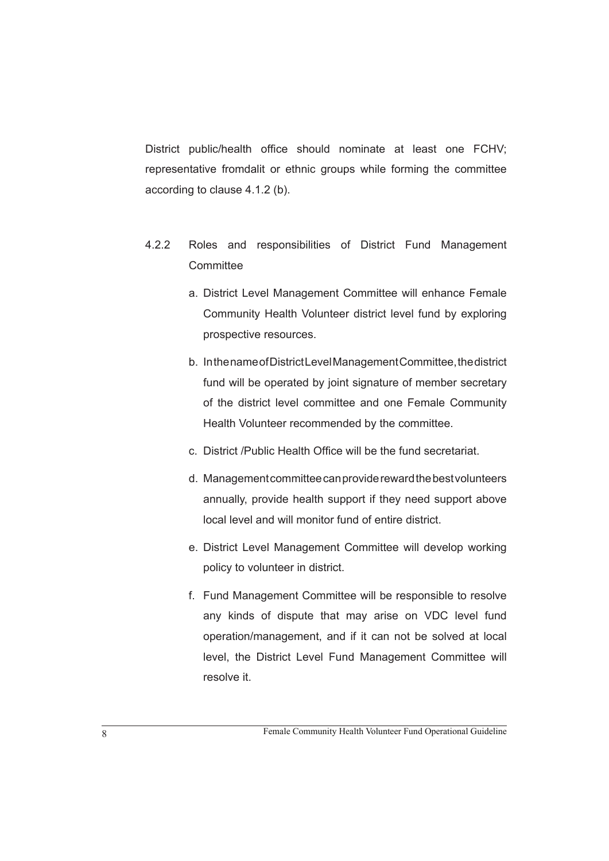District public/health office should nominate at least one FCHV; representative fromdalit or ethnic groups while forming the committee according to clause 4.1.2 (b).

- 4.2.2 Roles and responsibilities of District Fund Management **Committee** 
	- a. District Level Management Committee will enhance Female Community Health Volunteer district level fund by exploring prospective resources.
	- b. In the name of District Level Management Committee, the district fund will be operated by joint signature of member secretary of the district level committee and one Female Community Health Volunteer recommended by the committee.
	- c. District /Public Health Office will be the fund secretariat.
	- d. Management committee can provide reward the best volunteers annually, provide health support if they need support above local level and will monitor fund of entire district.
	- e. District Level Management Committee will develop working policy to volunteer in district.
	- f. Fund Management Committee will be responsible to resolve any kinds of dispute that may arise on VDC level fund operation/management, and if it can not be solved at local level, the District Level Fund Management Committee will resolve it.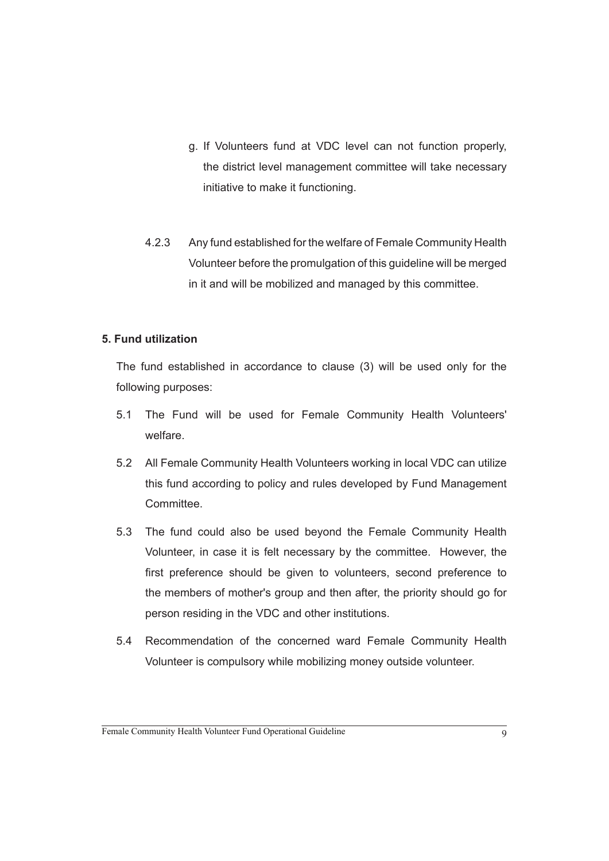- g. If Volunteers fund at VDC level can not function properly, the district level management committee will take necessary initiative to make it functioning.
- 4.2.3 Any fund established for the welfare of Female Community Health Volunteer before the promulgation of this guideline will be merged in it and will be mobilized and managed by this committee.

#### **5. Fund utilization**

The fund established in accordance to clause (3) will be used only for the following purposes:

- 5.1 The Fund will be used for Female Community Health Volunteers' welfare.
- 5.2 All Female Community Health Volunteers working in local VDC can utilize this fund according to policy and rules developed by Fund Management **Committee**
- 5.3 The fund could also be used beyond the Female Community Health Volunteer, in case it is felt necessary by the committee. However, the first preference should be given to volunteers, second preference to the members of mother's group and then after, the priority should go for person residing in the VDC and other institutions.
- 5.4 Recommendation of the concerned ward Female Community Health Volunteer is compulsory while mobilizing money outside volunteer.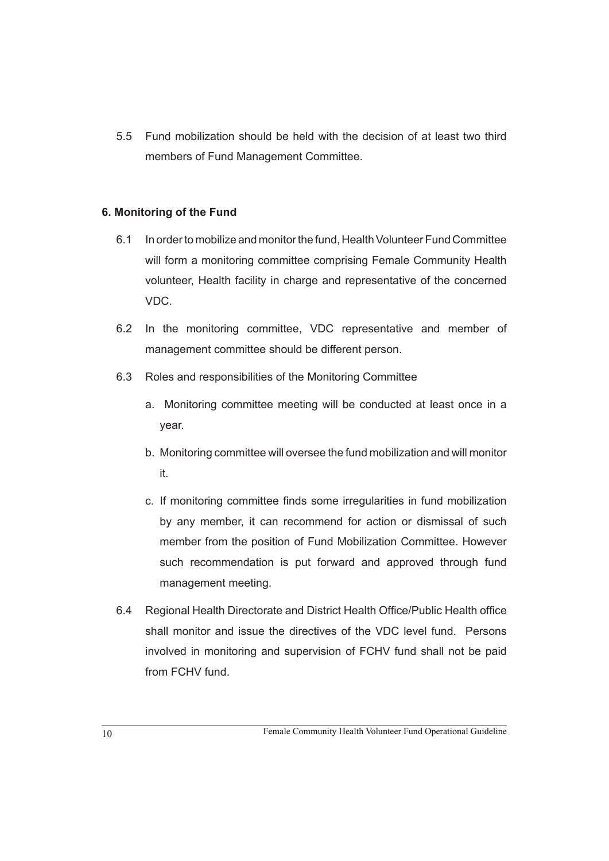5.5 Fund mobilization should be held with the decision of at least two third members of Fund Management Committee.

#### **6. Monitoring of the Fund**

- 6.1 In order to mobilize and monitor the fund, Health Volunteer Fund Committee will form a monitoring committee comprising Female Community Health volunteer, Health facility in charge and representative of the concerned VDC.
- 6.2 In the monitoring committee, VDC representative and member of management committee should be different person.
- 6.3 Roles and responsibilities of the Monitoring Committee
	- a. Monitoring committee meeting will be conducted at least once in a year.
	- b. Monitoring committee will oversee the fund mobilization and will monitor it.
	- c. If monitoring committee finds some irregularities in fund mobilization by any member, it can recommend for action or dismissal of such member from the position of Fund Mobilization Committee. However such recommendation is put forward and approved through fund management meeting.
- 6.4 Regional Health Directorate and District Health Office/Public Health office shall monitor and issue the directives of the VDC level fund. Persons involved in monitoring and supervision of FCHV fund shall not be paid from FCHV fund.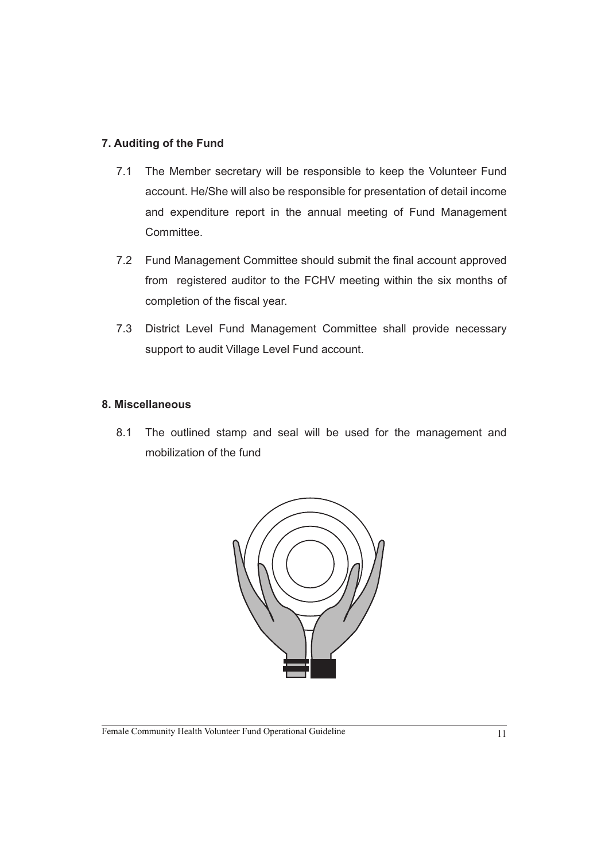#### **7. Auditing of the Fund**

- 7.1 The Member secretary will be responsible to keep the Volunteer Fund account. He/She will also be responsible for presentation of detail income and expenditure report in the annual meeting of Fund Management Committee.
- 7.2 Fund Management Committee should submit the final account approved from registered auditor to the FCHV meeting within the six months of completion of the fiscal year.
- 7.3 District Level Fund Management Committee shall provide necessary support to audit Village Level Fund account.

#### **8. Miscellaneous**

8.1 The outlined stamp and seal will be used for the management and mobilization of the fund